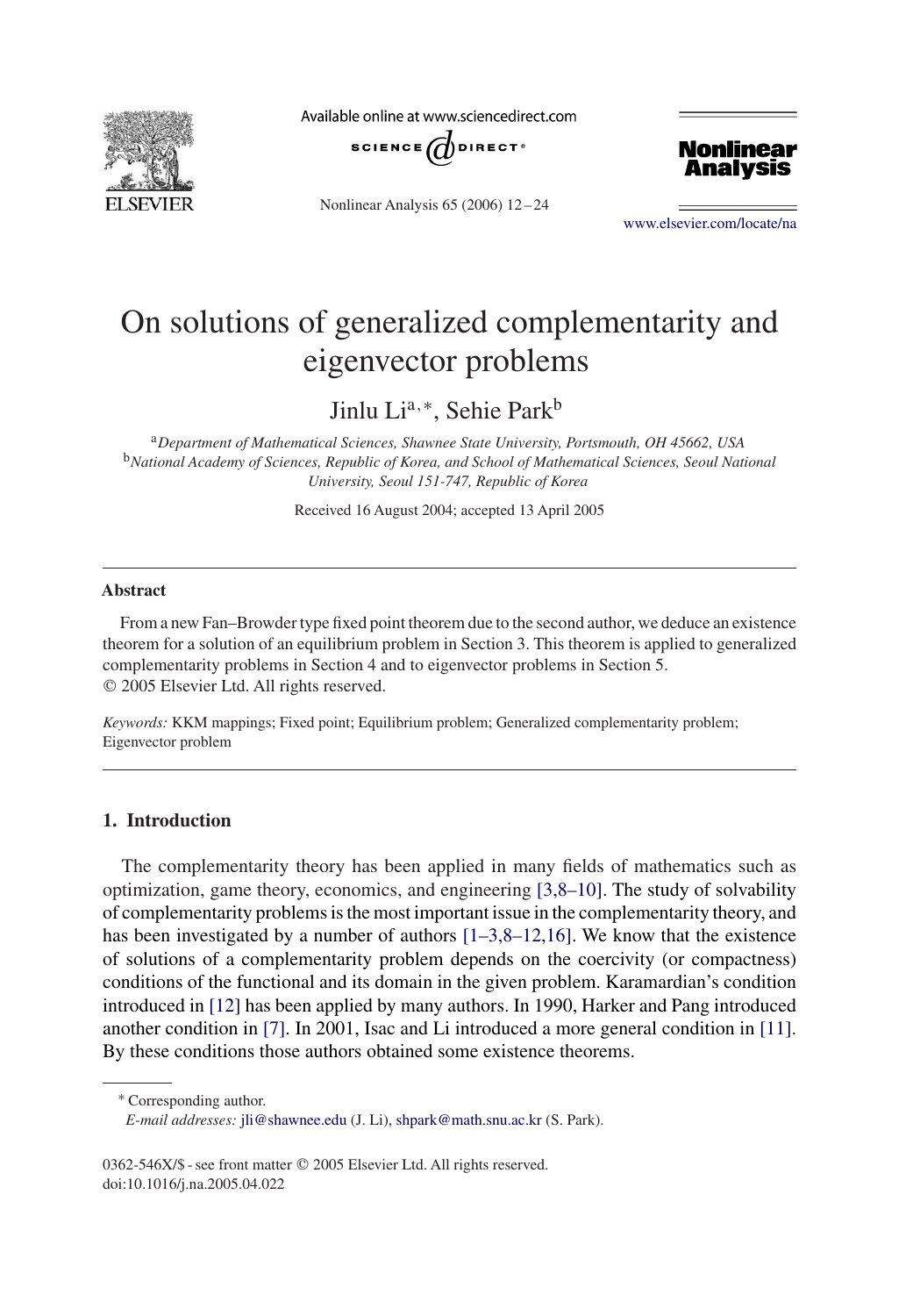

Available online at www.sciencedirect.com



Nonlinear Analysis 65 (2006) 12 – 24



[www.elsevier.com/locate/na](http://www.elsevier.com/locate/na)

# On solutions of generalized complementarity and eigenvector problems

Jinlu Lia,<sup>∗</sup>, Sehie Parkb

<sup>a</sup>*Department of Mathematical Sciences, Shawnee State University, Portsmouth, OH 45662, USA* <sup>b</sup>*National Academy of Sciences, Republic of Korea, and School of Mathematical Sciences, Seoul National University, Seoul 151-747, Republic of Korea*

Received 16 August 2004; accepted 13 April 2005

### **Abstract**

From a new Fan–Browder type fixed point theorem due to the second author, we deduce an existence theorem for a solution of an equilibrium problem in Section 3. This theorem is applied to generalized complementarity problems in Section 4 and to eigenvector problems in Section 5. 2005 Elsevier Ltd. All rights reserved.

*Keywords:* KKM mappings; Fixed point; Equilibrium problem; Generalized complementarity problem; Eigenvector problem

# **1. Introduction**

The complementarity theory has been applied in many fields of mathematics such as optimization, game theory, economics, and engineering [3,8–10]. The study of solvability of complementarity problems is the most important issue in the complementarity theory, and has been investigated by a number of authors  $[1-3,8-12,16]$ . We know that the existence of solutions of a complementarity problem depends on the coercivity (or compactness) conditions of the functional and its domain in the given problem. Karamardian's condition introduced in [\[12\]](#page-12-0) has been applied by many authors. In 1990, Harker and Pang introduced another condition in [\[7\].](#page-12-0) In 2001, Isac and Li introduced a more general condition in [\[11\].](#page-12-0) By these conditions those authors obtained some existence theorems.

<sup>∗</sup> Corresponding author.

*E-mail addresses:* [jli@shawnee.edu](mailto:jli@shawnee.edu) (J. Li), [shpark@math.snu.ac.kr](mailto:shpark@math.snu.ac.kr) (S. Park).

<sup>0362-546</sup>X/\$ - see front matter © 2005 Elsevier Ltd. All rights reserved. doi:10.1016/j.na.2005.04.022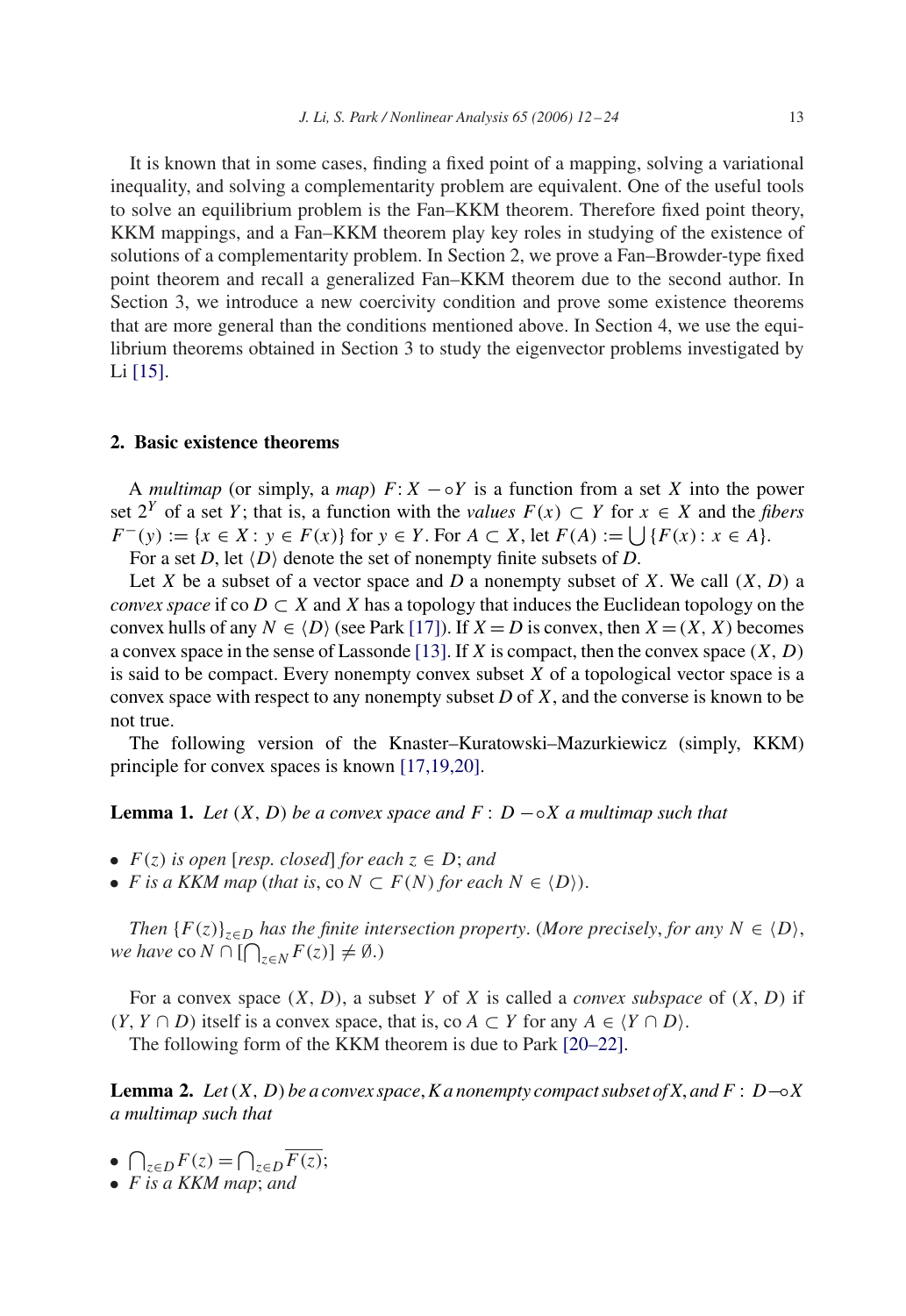It is known that in some cases, finding a fixed point of a mapping, solving a variational inequality, and solving a complementarity problem are equivalent. One of the useful tools to solve an equilibrium problem is the Fan–KKM theorem. Therefore fixed point theory, KKM mappings, and a Fan–KKM theorem play key roles in studying of the existence of solutions of a complementarity problem. In Section 2, we prove a Fan–Browder-type fixed point theorem and recall a generalized Fan–KKM theorem due to the second author. In Section 3, we introduce a new coercivity condition and prove some existence theorems that are more general than the conditions mentioned above. In Section 4, we use the equilibrium theorems obtained in Section 3 to study the eigenvector problems investigated by Li [\[15\].](#page-12-0)

# **2. Basic existence theorems**

A *multimap* (or simply, a *map*)  $F: X - \circ Y$  is a function from a set X into the power set  $2^Y$  of a set Y; that is, a function with the *values*  $F(x) \subset Y$  for  $x \in X$  and the *fibers*  $F^{-}(y) := \{x \in X : y \in F(x)\}\$ for  $y \in Y$ . For  $A \subset X$ , let  $F(A) := \bigcup \{F(x) : x \in A\}.$ 

For a set *D*, let  $\langle D \rangle$  denote the set of nonempty finite subsets of *D*.

Let X be a subset of a vector space and D a nonempty subset of X. We call  $(X, D)$  a *convex space* if co  $D \subset X$  and X has a topology that induces the Euclidean topology on the convex hulls of any  $N \in \{D\}$  (see Park [\[17\]\)](#page-12-0). If  $X = D$  is convex, then  $X = (X, X)$  becomes a convex space in the sense of Lassonde [\[13\].](#page-12-0) If X is compact, then the convex space  $(X, D)$ is said to be compact. Every nonempty convex subset  $X$  of a topological vector space is a convex space with respect to any nonempty subset  $D$  of  $X$ , and the converse is known to be not true.

The following version of the Knaster–Kuratowski–Mazurkiewicz (simply, KKM) principle for convex spaces is known [17,19,20].

**Lemma 1.** *Let*  $(X, D)$  *be a convex space and*  $F: D - \circ X$  *a multimap such that* 

- $F(z)$  *is open* [*resp. closed*] *for each*  $z \in D$ ; *and*
- *F* is a KKM map (that is, co  $N \subset F(N)$  for each  $N \in \langle D \rangle$ ).

*Then*  ${F(z)}_{z\in D}$  *has the finite intersection property.* (*More precisely, for any*  $N \in \langle D \rangle$ *, we have* co  $N \cap [\bigcap_{z \in N} F(z)] \neq \emptyset$ .)

For a convex space  $(X, D)$ , a subset Y of X is called a *convex subspace* of  $(X, D)$  if  $(Y, Y \cap D)$  itself is a convex space, that is, co  $A \subset Y$  for any  $A \in \langle Y \cap D \rangle$ .

The following form of the KKM theorem is due to Park [20–22].

**Lemma 2.** *Let*(X, D) *be a convex space*, *K a nonempty compact subset of X*, *and*  $F : D \rightarrow X$ *a multimap such that*

- $\bigcap_{z \in D} F(z) = \bigcap_{z \in D} \overline{F(z)};$
- *F is a KKM map*; *and*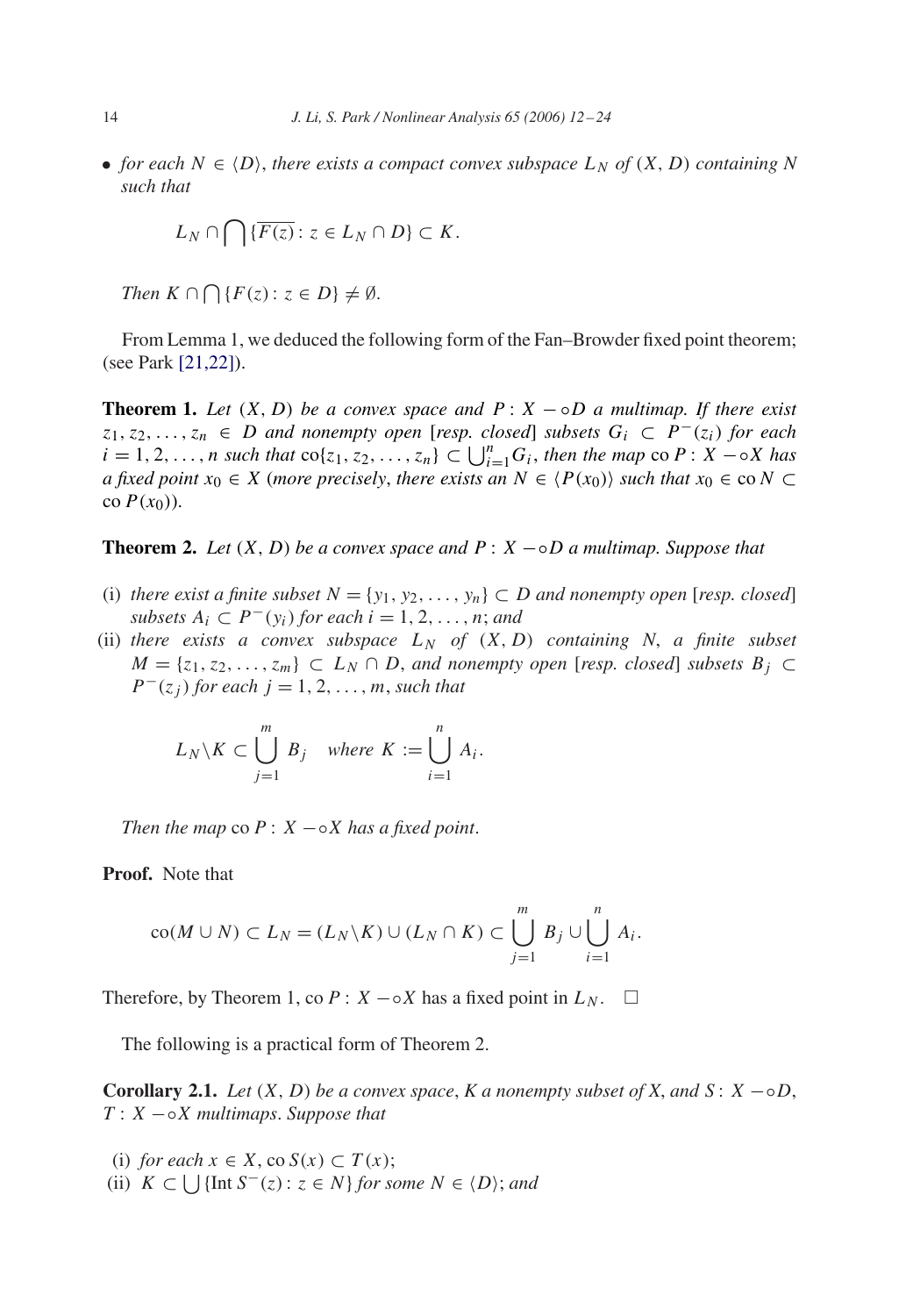• *for each*  $N \in \{D\}$ , *there exists a compact convex subspace*  $L_N$  *of*  $(X, D)$  *containing* N *such that*

$$
L_N \cap \bigcap \{ \overline{F(z)} : z \in L_N \cap D \} \subset K.
$$

*Then*  $K \cap \bigcap \{F(z) : z \in D\} \neq \emptyset$ .

From Lemma 1, we deduced the following form of the Fan–Browder fixed point theorem; (see Park [21,22]).

**Theorem 1.** Let  $(X, D)$  be a convex space and  $P: X \to \circ D$  a multimap. If there exist  $z_1, z_2, \ldots, z_n \in D$  *and nonempty open* [*resp. closed*] *subsets*  $G_i \subset P^{-1}(z_i)$  *for each*  $i = 1, 2, \ldots, n$  such that  $\text{co}\lbrace z_1, z_2, \ldots, z_n \rbrace \subset \bigcup_{i=1}^n G_i$ , then the map  $\text{co } P : X - \circ X$  has *a* fixed point  $x_0 \in X$  (more precisely, there exists an  $N \in \langle P(x_0) \rangle$  such that  $x_0 \in \text{co } N \subset Y$ co  $P(x_0)$ ).

## **Theorem 2.** *Let*  $(X, D)$  *be a convex space and*  $P: X \sim D$  *a multimap. Suppose that*

- (i) *there exist a finite subset*  $N = \{y_1, y_2, \ldots, y_n\} \subset D$  *and nonempty open* [*resp. closed*] *subsets*  $A_i \subset P^-(y_i)$  *for each*  $i = 1, 2, \ldots, n$ ; *and*
- (ii) *there exists a convex subspace*  $L_N$  *of*  $(X, D)$  *containing* N, *a finite subset*  $M = \{z_1, z_2, \ldots, z_m\}$  ⊂  $L_N \cap D$ , and nonempty open [resp. closed] subsets  $B_j$  ⊂  $P^{-}(z_i)$  *for each*  $j = 1, 2, \ldots, m$ *, such that*

$$
L_N \setminus K \subset \bigcup_{j=1}^m B_j \quad \text{where } K := \bigcup_{i=1}^n A_i.
$$

*Then the map* co  $P: X \rightarrow X$  *has a fixed point.* 

**Proof.** Note that

$$
co(M \cup N) \subset L_N = (L_N \backslash K) \cup (L_N \cap K) \subset \bigcup_{j=1}^m B_j \cup \bigcup_{i=1}^n A_i.
$$

Therefore, by Theorem 1, co  $P: X - \circ X$  has a fixed point in  $L_N$ .  $\square$ 

The following is a practical form of Theorem 2.

**Corollary 2.1.** *Let*  $(X, D)$  *be a convex space, K a nonempty subset of X, and*  $S: X - \circ D$ , T : X −◦X *multimaps*. *Suppose that*

(i) *for each*  $x \in X$ , co  $S(x) \subset T(x)$ ;

(ii)  $K \subset \bigcup$  {Int  $S^{-}(z): z \in N$ } *for some*  $N \in \langle D \rangle$ *; and*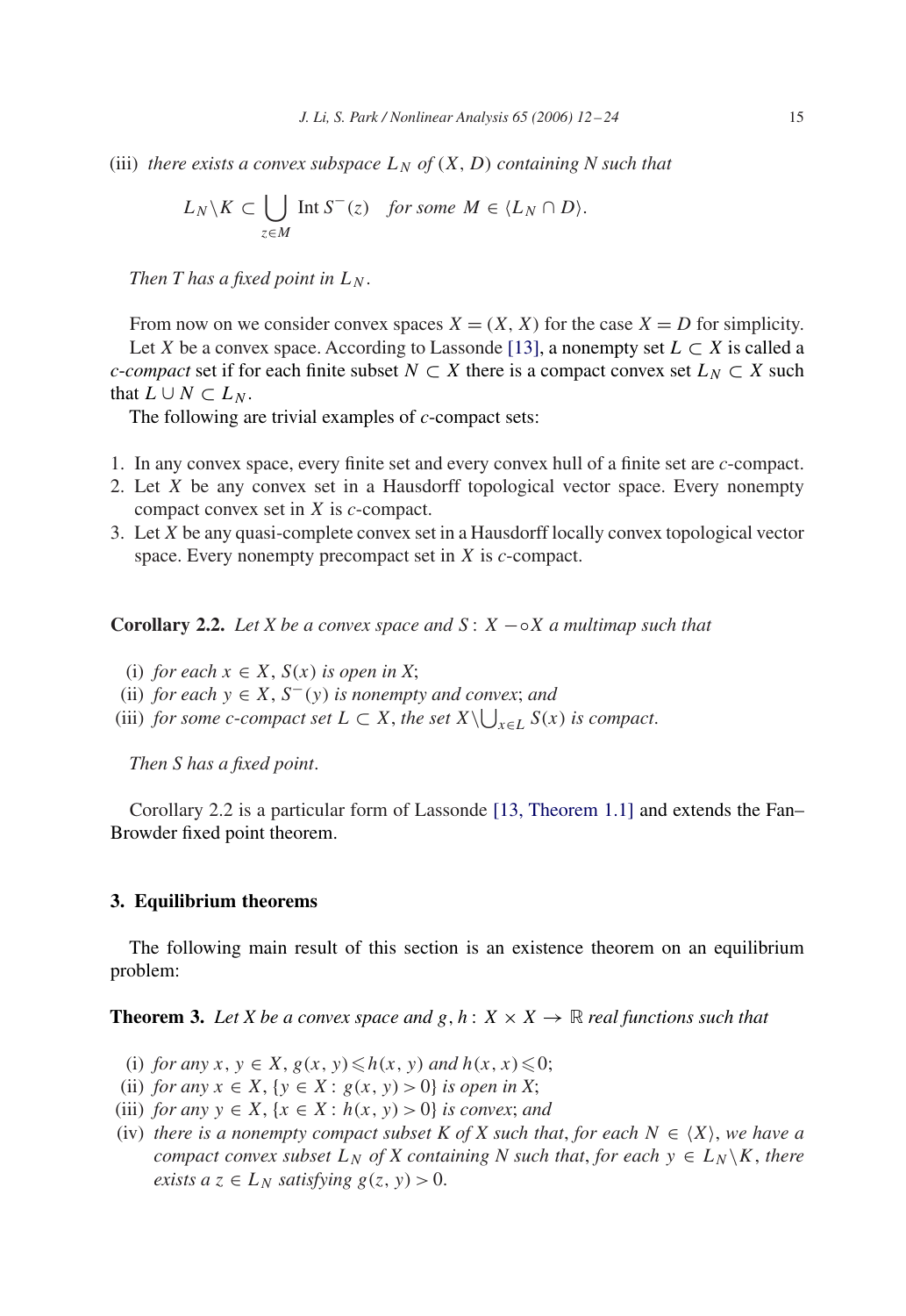(iii) *there exists a convex subspace*  $L_N$  *of*  $(X, D)$  *containing* N such that

$$
L_N \backslash K \subset \bigcup_{z \in M} \text{Int } S^-(z) \quad \text{for some } M \in \langle L_N \cap D \rangle.
$$

*Then T has a fixed point in*  $L_N$ .

From now on we consider convex spaces  $X = (X, X)$  for the case  $X = D$  for simplicity. Let X be a convex space. According to Lassonde [\[13\],](#page-12-0) a nonempty set  $L \subset X$  is called a *c*-*compact* set if for each finite subset  $N \subset X$  there is a compact convex set  $L_N \subset X$  such that  $L \cup N \subset L_N$ .

The following are trivial examples of *c*-compact sets:

- 1. In any convex space, every finite set and every convex hull of a finite set are *c*-compact.
- 2. Let  $X$  be any convex set in a Hausdorff topological vector space. Every nonempty compact convex set in X is *c*-compact.
- 3. Let X be any quasi-complete convex set in a Hausdorff locally convex topological vector space. Every nonempty precompact set in X is *c*-compact.

**Corollary 2.2.** *Let X be a convex space and* S : X −◦X *a multimap such that*

- (i) *for each*  $x \in X$ ,  $S(x)$  *is open in X*;
- (ii) *for each*  $y \in X$ ,  $S^-(y)$  *is nonempty and convex; and*
- (iii) *for some c-compact set*  $L \subset X$ *, the set*  $X \setminus \bigcup_{x \in L} S(x)$  *is compact.*

*Then S has a fixed point*.

Corollary 2.2 is a particular form of Lassonde [\[13, Theorem 1.1\]](#page-12-0) and extends the Fan– Browder fixed point theorem.

### **3. Equilibrium theorems**

The following main result of this section is an existence theorem on an equilibrium problem:

**Theorem 3.** Let X be a convex space and  $g, h: X \times X \rightarrow \mathbb{R}$  real functions such that

- (i) *for any*  $x, y \in X$ ,  $g(x, y) \leq h(x, y)$  *and*  $h(x, x) \leq 0$ ;
- (ii) *for any*  $x \in X$ , { $y \in X$  :  $g(x, y) > 0$ } *is open in X*;
- (iii) *for any*  $y \in X$ ,  $\{x \in X : h(x, y) > 0\}$  *is convex; and*
- (iv) *there is a nonempty compact subset K of X such that, for each*  $N \in \langle X \rangle$ *, we have a compact convex subset*  $L_N$  *of X containing N such that, for each*  $y \in L_N \backslash K$ *, there exists a*  $z \in L_N$  *satisfying*  $g(z, y) > 0$ .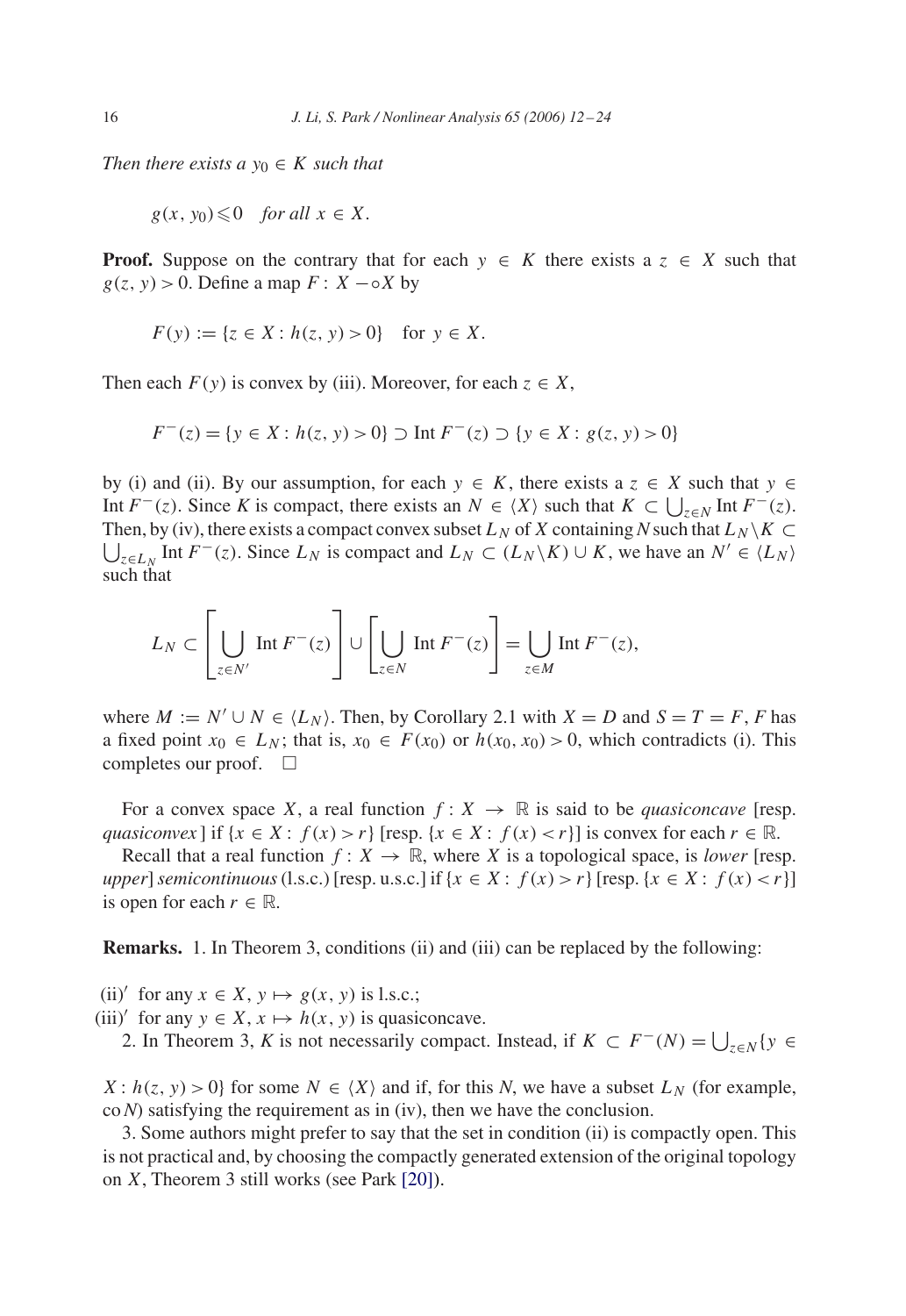*Then there exists a*  $y_0 \in K$  *such that* 

$$
g(x, y_0) \leq 0
$$
 for all  $x \in X$ .

**Proof.** Suppose on the contrary that for each  $y \in K$  there exists a  $z \in X$  such that  $g(z, y) > 0$ . Define a map  $F: X - \circ X$  by

$$
F(y) := \{ z \in X : h(z, y) > 0 \} \text{ for } y \in X.
$$

Then each  $F(y)$  is convex by (iii). Moreover, for each  $z \in X$ ,

$$
F^{-}(z) = \{ y \in X : h(z, y) > 0 \} \supset \text{Int } F^{-}(z) \supset \{ y \in X : g(z, y) > 0 \}
$$

by (i) and (ii). By our assumption, for each  $y \in K$ , there exists a  $z \in X$  such that  $y \in$ Int  $F^{-}(z)$ . Since *K* is compact, there exists an  $N \in \langle X \rangle$  such that  $K \subset \bigcup_{z \in N} \text{Int } F^{-}(z)$ . Then, by (iv), there exists a compact convex subset  $L_N$  of X containing N such that  $L_N \setminus K \subset$  $\bigcup_{z \in L_N}$  Int  $F^-(z)$ . Since  $L_N$  is compact and  $L_N \subset (L_N \setminus K) \cup K$ , we have an  $N' \in \langle L_N \rangle$ such that

$$
L_N \subset \left[\bigcup_{z \in N'} \text{Int } F^{-}(z)\right] \cup \left[\bigcup_{z \in N} \text{Int } F^{-}(z)\right] = \bigcup_{z \in M} \text{Int } F^{-}(z),
$$

where  $M := N' \cup N \in \langle L_N \rangle$ . Then, by Corollary 2.1 with  $X = D$  and  $S = T = F$ , *F* has a fixed point  $x_0 \in L_N$ ; that is,  $x_0 \in F(x_0)$  or  $h(x_0, x_0) > 0$ , which contradicts (i). This completes our proof.  $\square$ 

For a convex space X, a real function  $f: X \to \mathbb{R}$  is said to be *quasiconcave* [resp. *quasiconvex* ] if  $\{x \in X : f(x) > r\}$  [resp.  $\{x \in X : f(x) < r\}$ ] is convex for each  $r \in \mathbb{R}$ .

Recall that a real function  $f: X \to \mathbb{R}$ , where X is a topological space, is *lower* [resp. *upper*] *semicontinuous* (l.s.c.) [resp. u.s.c.] if  $\{x \in X : f(x) > r\}$  [resp.  $\{x \in X : f(x) < r\}$ ] is open for each  $r \in \mathbb{R}$ .

**Remarks.** 1. In Theorem 3, conditions (ii) and (iii) can be replaced by the following:

(ii)' for any  $x \in X$ ,  $y \mapsto g(x, y)$  is l.s.c.;

(iii)' for any  $y \in X$ ,  $x \mapsto h(x, y)$  is quasiconcave.

2. In Theorem 3, *K* is not necessarily compact. Instead, if  $K \subset F^{-1}(N) = \bigcup_{z \in N} \{y \in S\}$ 

 $X: h(z, y) > 0$  for some  $N \in \langle X \rangle$  and if, for this N, we have a subset  $L_N$  (for example, co*N*) satisfying the requirement as in (iv), then we have the conclusion.

3. Some authors might prefer to say that the set in condition (ii) is compactly open. This is not practical and, by choosing the compactly generated extension of the original topology on X, Theorem 3 still works (see Park [\[20\]\)](#page-12-0).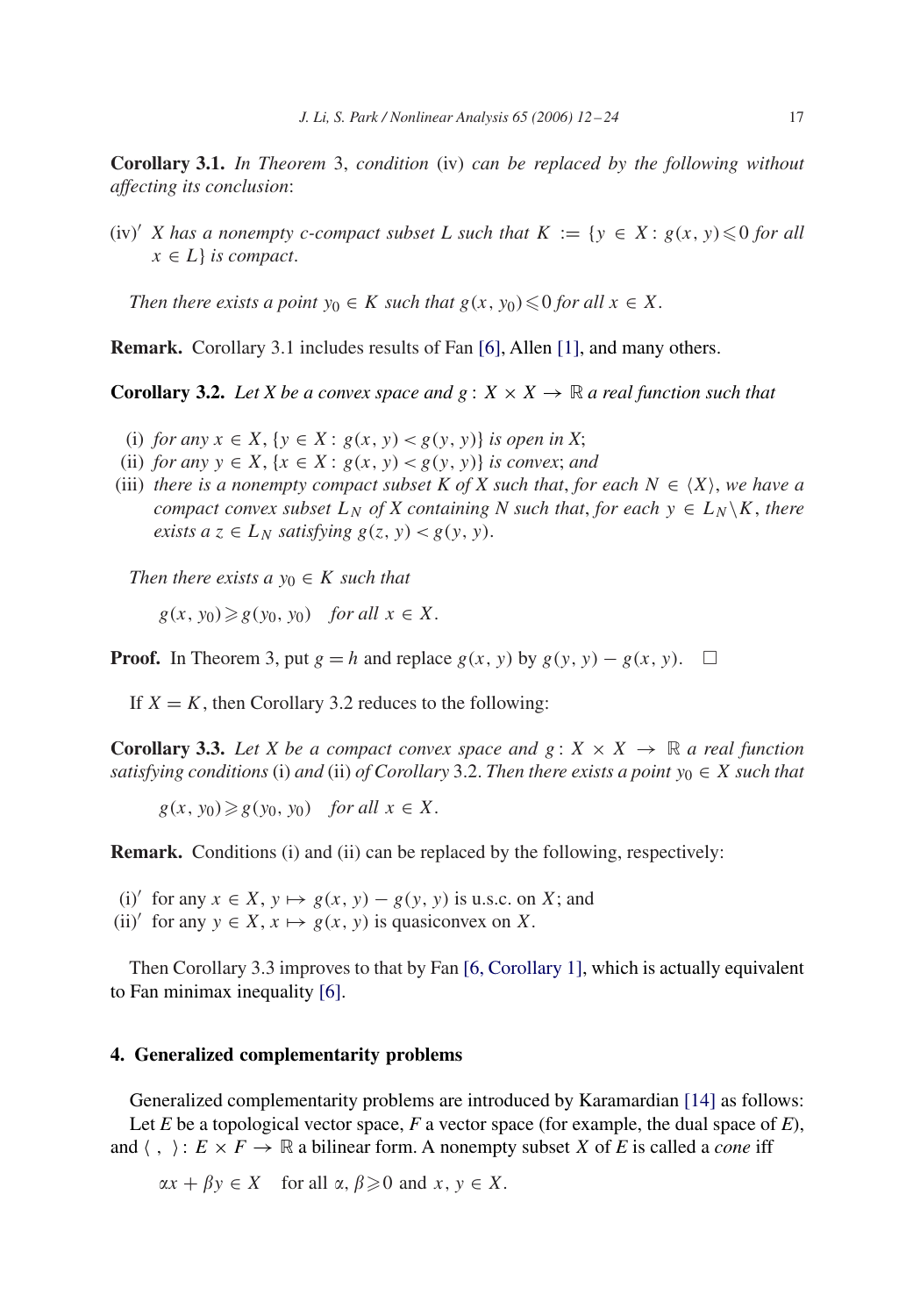**Corollary 3.1.** *In Theorem* 3, *condition* (iv) *can be replaced by the following without affecting its conclusion*:

 $(iv)'$  *X* has a nonempty c-compact subset *L* such that  $K := \{y \in X : g(x, y) \leq 0 \text{ for all } x \in K\}$  $x \in L$  *is compact.* 

*Then there exists a point*  $y_0 \in K$  *such that*  $g(x, y_0) \leq 0$  *for all*  $x \in X$ *.* 

**Remark.** Corollary 3.1 includes results of Fan [\[6\],](#page-12-0) Allen [\[1\],](#page-12-0) and many others.

**Corollary 3.2.** *Let X be a convex space and*  $g: X \times X \rightarrow \mathbb{R}$  *a real function such that* 

- (i) *for any*  $x \in X$ , { $y \in X$  :  $g(x, y) < g(y, y)$ } *is open in X*;
- (ii) *for any*  $y \in X$ ,  $\{x \in X : g(x, y) < g(y, y)\}$  *is convex; and*
- (iii) *there is a nonempty compact subset K of X such that, for each*  $N \in \langle X \rangle$ *, we have a compact convex subset*  $L_N$  *of X containing N such that, for each*  $y \in L_N \backslash K$ *, there exists a*  $z \in L_N$  *satisfying*  $g(z, y) < g(y, y)$ .

*Then there exists a*  $y_0 \in K$  *such that* 

 $g(x, y_0) \geq g(y_0, y_0)$  *for all*  $x \in X$ .

**Proof.** In Theorem 3, put  $g = h$  and replace  $g(x, y)$  by  $g(y, y) - g(x, y)$ .  $\Box$ 

If  $X = K$ , then Corollary 3.2 reduces to the following:

**Corollary 3.3.** Let X be a compact convex space and  $g: X \times X \rightarrow \mathbb{R}$  a real function *satisfying conditions* (i) *and* (ii) *of Corollary* 3.2. *Then there exists a point*  $y_0 \in X$  *such that* 

 $g(x, y_0) \geq g(y_0, y_0)$  *for all*  $x \in X$ .

**Remark.** Conditions (i) and (ii) can be replaced by the following, respectively:

- (i)' for any  $x \in X$ ,  $y \mapsto g(x, y) g(y, y)$  is u.s.c. on X; and
- (ii)' for any  $y \in X$ ,  $x \mapsto g(x, y)$  is quasiconvex on X.

Then Corollary 3.3 improves to that by Fan [\[6, Corollary 1\],](#page-12-0) which is actually equivalent to Fan minimax inequality [\[6\].](#page-12-0)

## **4. Generalized complementarity problems**

Generalized complementarity problems are introduced by Karamardian [\[14\]](#page-12-0) as follows: Let *E* be a topological vector space, *F* a vector space (for example, the dual space of *E*), and  $\langle , \rangle : E \times F \to \mathbb{R}$  a bilinear form. A nonempty subset X of E is called a *cone* iff

 $\alpha x + \beta y \in X$  for all  $\alpha, \beta \geq 0$  and  $x, y \in X$ .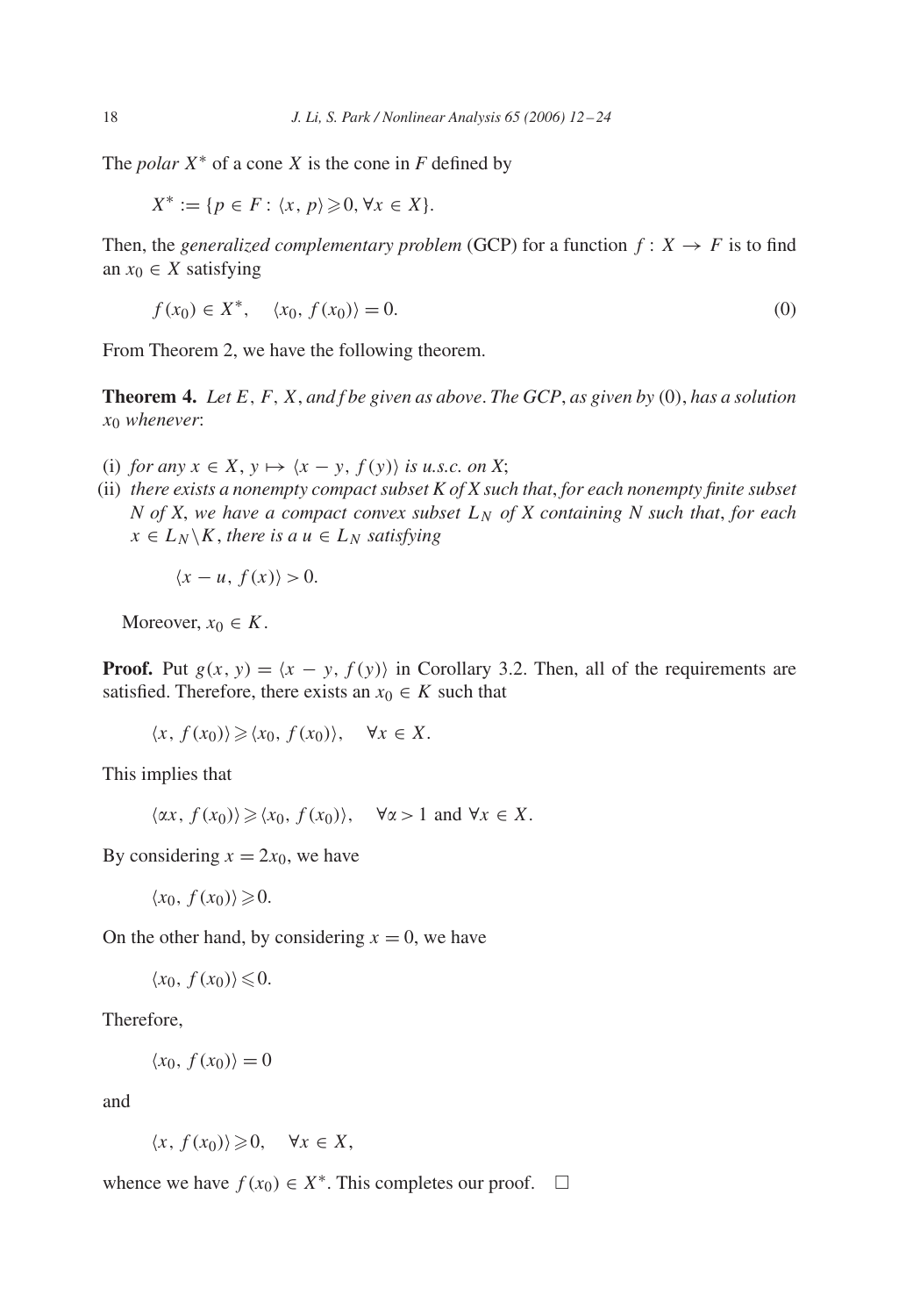The *polar*  $X^*$  of a cone X is the cone in  $F$  defined by

$$
X^* := \{ p \in F : \langle x, p \rangle \geq 0, \forall x \in X \}.
$$

Then, the *generalized complementary problem* (GCP) for a function  $f: X \rightarrow F$  is to find an  $x_0 \in X$  satisfying

$$
f(x_0) \in X^*, \quad \langle x_0, f(x_0) \rangle = 0. \tag{0}
$$

From Theorem 2, we have the following theorem.

**Theorem 4.** *Let* E,F,X, *and f be given as above*. *The GCP*, *as given by* (0), *has a solution* x<sup>0</sup> *whenever*:

- (i) *for any*  $x \in X$ ,  $y \mapsto \langle x y, f(y) \rangle$  *is u.s.c. on* X;
- (ii) *there exists a nonempty compact subset K of X such that*, *for each nonempty finite subset N* of *X*, we have a compact convex subset  $L_N$  of *X* containing *N* such that, for each  $x \in L_N \backslash K$ , *there is a*  $u \in L_N$  *satisfying*

$$
\langle x - u, f(x) \rangle > 0.
$$

Moreover,  $x_0 \in K$ .

**Proof.** Put  $g(x, y) = \langle x - y, f(y) \rangle$  in Corollary 3.2. Then, all of the requirements are satisfied. Therefore, there exists an  $x_0 \in K$  such that

$$
\langle x, f(x_0) \rangle \geq \langle x_0, f(x_0) \rangle, \quad \forall x \in X.
$$

This implies that

 $\langle \alpha x, f(x_0) \rangle \geq \langle x_0, f(x_0) \rangle$ ,  $\forall \alpha > 1$  and  $\forall x \in X$ .

By considering  $x = 2x_0$ , we have

$$
\langle x_0, f(x_0) \rangle \geq 0.
$$

On the other hand, by considering  $x = 0$ , we have

$$
\langle x_0, f(x_0) \rangle \leq 0.
$$

Therefore,

$$
\langle x_0, f(x_0) \rangle = 0
$$

and

$$
\langle x, f(x_0) \rangle \geq 0, \quad \forall x \in X,
$$

whence we have  $f(x_0) \in X^*$ . This completes our proof.  $\square$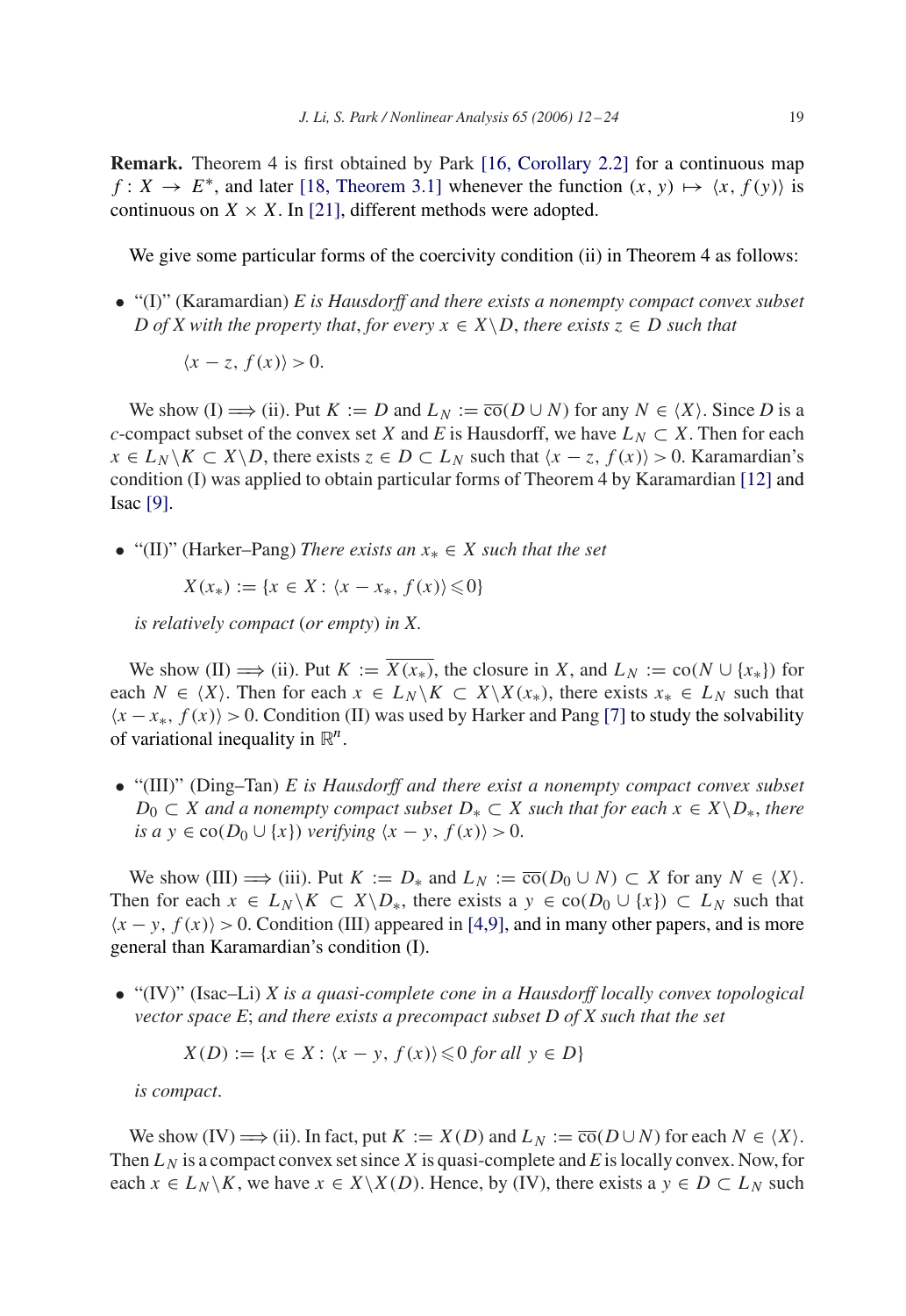**Remark.** Theorem 4 is first obtained by Park [\[16, Corollary 2.2\]](#page-12-0) for a continuous map  $f: X \to E^*$ , and later [\[18, Theorem 3.1\]](#page-12-0) whenever the function  $(x, y) \mapsto \langle x, f(y) \rangle$  is continuous on  $X \times X$ . In [\[21\],](#page-12-0) different methods were adopted.

We give some particular forms of the coercivity condition (ii) in Theorem 4 as follows:

• "(I)" (Karamardian) *E is Hausdorff and there exists a nonempty compact convex subset D* of *X* with the property that, for every  $x \in X \backslash D$ , there exists  $z \in D$  such that

$$
\langle x-z, f(x)\rangle > 0.
$$

We show (I)  $\implies$  (ii). Put  $K := D$  and  $L_N := \overline{co}(D \cup N)$  for any  $N \in \langle X \rangle$ . Since D is a *c*-compact subset of the convex set X and E is Hausdorff, we have  $L_N \subset X$ . Then for each  $x \in L_N \backslash K \subset X \backslash D$ , there exists  $z \in D \subset L_N$  such that  $\langle x - z, f(x) \rangle > 0$ . Karamardian's condition (I) was applied to obtain particular forms of Theorem 4 by Karamardian [\[12\]](#page-12-0) and Isac [\[9\].](#page-12-0)

• "(II)" (Harker–Pang) *There exists an* x<sup>∗</sup> ∈ X *such that the set*

 $X(x_*) := \{x \in X : \langle x - x_*, f(x) \rangle \leq 0\}$ 

*is relatively compact* (*or empty*) *in X*.

We show (II)  $\implies$  (ii). Put  $K := \overline{X(x_*)}$ , the closure in X, and  $L_N := \text{co}(N \cup \{x_*\})$  for each  $N \in \langle X \rangle$ . Then for each  $x \in L_N \setminus K \subset X \setminus X(x_*)$ , there exists  $x_* \in L_N$  such that  $\langle x - x_*, f(x) \rangle > 0$ . Condition (II) was used by Harker and Pang [\[7\]](#page-12-0) to study the solvability of variational inequality in  $\mathbb{R}^n$ .

• "(III)" (Ding–Tan) *E is Hausdorff and there exist a nonempty compact convex subset*  $D_0$  ⊂ *X* and a nonempty compact subset  $D_*$  ⊂ *X* such that for each  $x \in X \backslash D_*$ , there *is a*  $y \in co(D_0 \cup \{x\})$  *verifying*  $\langle x - y, f(x) \rangle > 0$ .

We show (III)  $\implies$  (iii). Put  $K := D_*$  and  $L_N := \overline{co}(D_0 \cup N) \subset X$  for any  $N \in \langle X \rangle$ . Then for each  $x \in L_N \backslash K \subset X \backslash D_*$ , there exists a  $y \in co(D_0 \cup \{x\}) \subset L_N$  such that  $\langle x - y, f(x) \rangle > 0$ . Condition (III) appeared in [4,9], and in many other papers, and is more general than Karamardian's condition (I).

• "(IV)" (Isac–Li) *X is a quasi-complete cone in a Hausdorff locally convex topological vector space E*; *and there exists a precompact subset D of X such that the set*

$$
X(D) := \{ x \in X : \langle x - y, f(x) \rangle \leq 0 \text{ for all } y \in D \}
$$

*is compact*.

We show (IV)  $\Longrightarrow$  (ii). In fact, put  $K := X(D)$  and  $L_N := \overline{co}(D \cup N)$  for each  $N \in \langle X \rangle$ . Then  $L<sub>N</sub>$  is a compact convex set since X is quasi-complete and *E* is locally convex. Now, for each  $x \in L_N \backslash K$ , we have  $x \in X \backslash X(D)$ . Hence, by (IV), there exists a  $y \in D \subset L_N$  such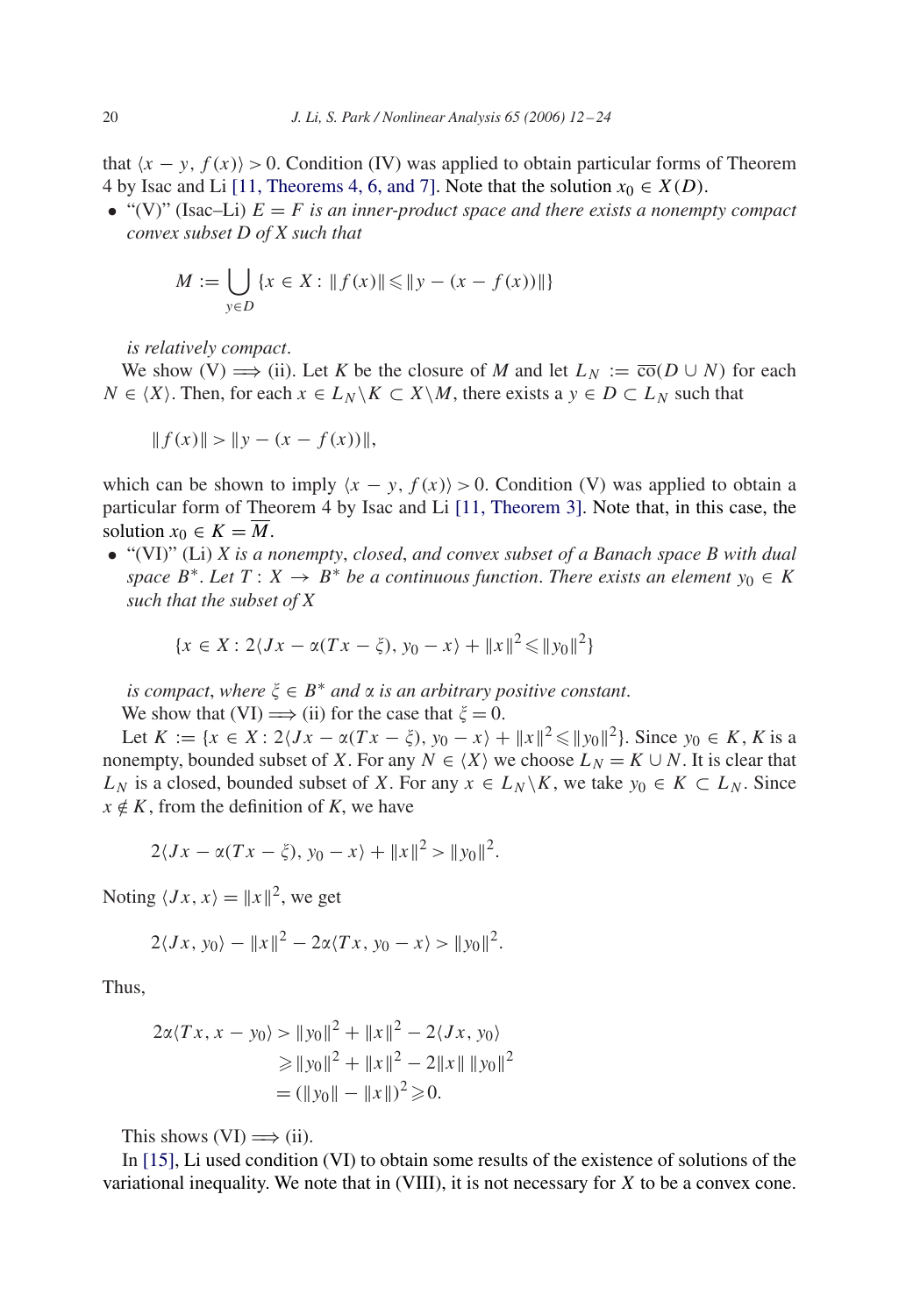that  $\langle x - y, f(x) \rangle > 0$ . Condition (IV) was applied to obtain particular forms of Theorem 4 by Isac and Li [\[11, Theorems 4, 6, and 7\].](#page-12-0) Note that the solution  $x_0 \in X(D)$ .

• "(V)" (Isac–Li)  $E = F$  *is an inner-product space and there exists a nonempty compact convex subset D of X such that*

$$
M := \bigcup_{y \in D} \{x \in X : ||f(x)|| \le ||y - (x - f(x))||\}
$$

*is relatively compact*.

We show (V)  $\implies$  (ii). Let K be the closure of M and let  $L_N := \overline{\text{co}}(D \cup N)$  for each  $N \in \langle X \rangle$ . Then, for each  $x \in L_N \backslash K \subset X \backslash M$ , there exists a  $y \in D \subset L_N$  such that

$$
|| f(x)|| > || y - (x - f(x)) ||,
$$

which can be shown to imply  $\langle x - y, f(x) \rangle > 0$ . Condition (V) was applied to obtain a particular form of Theorem 4 by Isac and Li [\[11, Theorem 3\].](#page-12-0) Note that, in this case, the solution  $x_0 \in K = \overline{M}$ .

• "(VI)" (Li) *X is a nonempty*, *closed*, *and convex subset of a Banach space B with dual space*  $B^*$ . Let  $T: X \to B^*$  be a continuous function. There exists an element  $y_0 \in K$ *such that the subset of X*

$$
\{x \in X : 2\langle Jx - \alpha(Tx - \xi), y_0 - x \rangle + ||x||^2 \le ||y_0||^2\}
$$

*is compact, where*  $\xi \in B^*$  *and*  $\alpha$  *is an arbitrary positive constant.* 

We show that (VI)  $\implies$  (ii) for the case that  $\xi = 0$ .

Let  $K := \{x \in X : 2\langle Jx - \alpha(Tx - \xi), y_0 - x \rangle + ||x||^2 \le ||y_0||^2\}$ . Since  $y_0 \in K$ , K is a nonempty, bounded subset of X. For any  $N \in \langle X \rangle$  we choose  $L_N = K \cup N$ . It is clear that  $L_N$  is a closed, bounded subset of X. For any  $x \in L_N \backslash K$ , we take  $y_0 \in K \subset L_N$ . Since  $x \notin K$ , from the definition of *K*, we have

$$
2\langle Jx - \alpha(Tx - \xi), y_0 - x \rangle + ||x||^2 > ||y_0||^2.
$$

Noting  $\langle Jx, x\rangle = ||x||^2$ , we get

$$
2\langle Jx, y_0\rangle - ||x||^2 - 2\alpha \langle Tx, y_0 - x\rangle > ||y_0||^2.
$$

Thus,

$$
2\alpha \langle Tx, x - y_0 \rangle > ||y_0||^2 + ||x||^2 - 2\langle Jx, y_0 \rangle
$$
  
\n
$$
\ge ||y_0||^2 + ||x||^2 - 2||x|| ||y_0||^2
$$
  
\n
$$
= (||y_0|| - ||x||)^2 \ge 0.
$$

This shows  $(VI) \implies (ii)$ .

In [\[15\],](#page-12-0) Li used condition (VI) to obtain some results of the existence of solutions of the variational inequality. We note that in (VIII), it is not necessary for X to be a convex cone.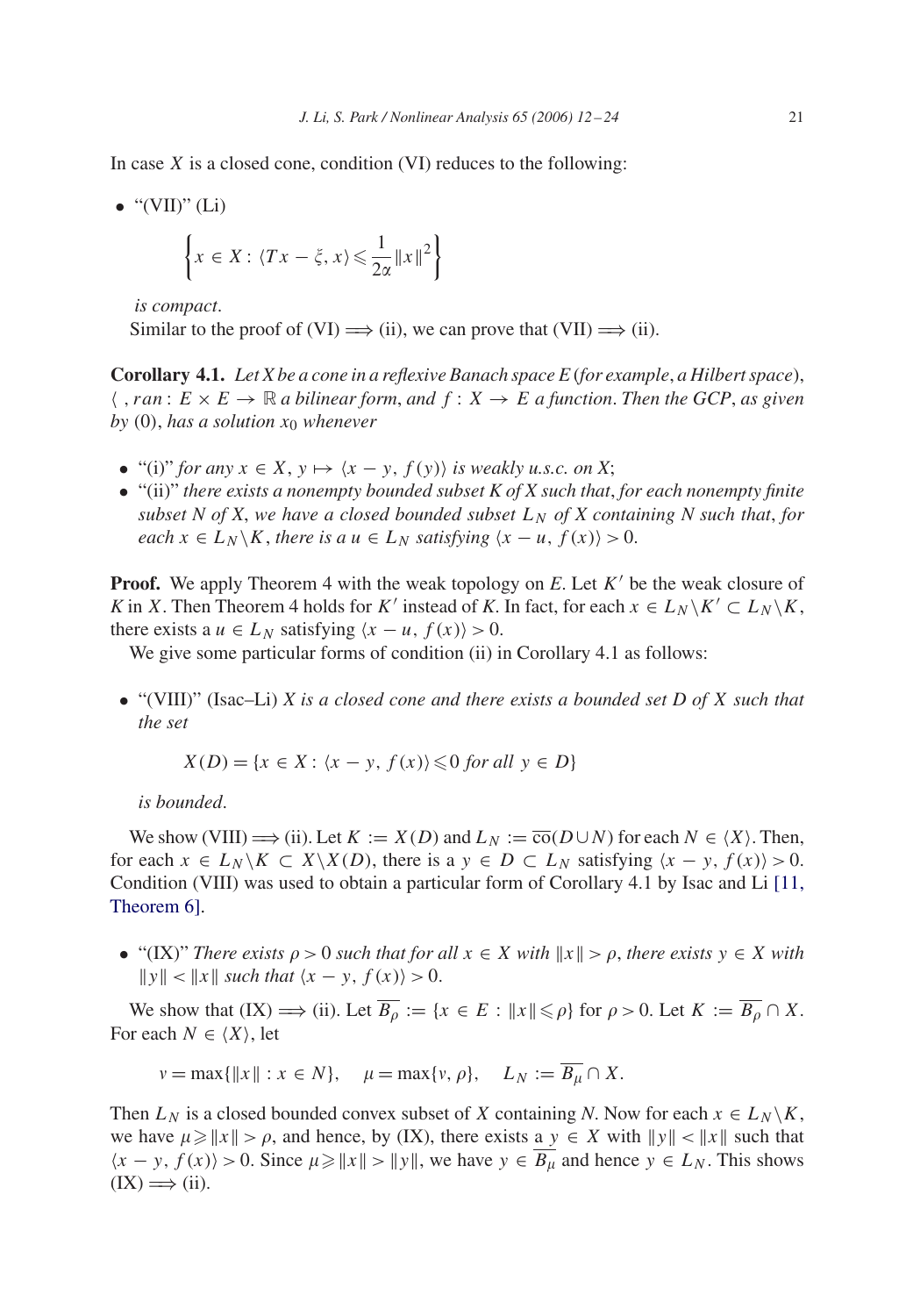In case  $X$  is a closed cone, condition (VI) reduces to the following:

• "(VII)" (Li)  

$$
\left\{ x \in X : \langle Tx - \xi, x \rangle \leq \frac{1}{2\alpha} ||x||^2 \right\}
$$

*is compact*.

Similar to the proof of (VI)  $\Longrightarrow$  (ii), we can prove that (VII)  $\Longrightarrow$  (ii).

**Corollary 4.1.** *Let X be a cone in a reflexive Banach space E* (*for example*, *a Hilbert space*),  $\langle$ , ran :  $E \times E \to \mathbb{R}$  *a bilinear form, and*  $f : X \to E$  *a function. Then the GCP, as given*  $by (0)$ , has a solution  $x_0$  whenever

- "(i)" *for any*  $x \in X$ ,  $y \mapsto \langle x y, f(y) \rangle$  *is weakly u.s.c. on* X;
- "(ii)" *there exists a nonempty bounded subset K of X such that*, *for each nonempty finite subset N of X, we have a closed bounded subset*  $L_N$  *of X containing N such that, for each*  $x \in L_N \backslash K$ , *there is a*  $u \in L_N$  *satisfying*  $\langle x - u, f(x) \rangle > 0$ .

**Proof.** We apply Theorem 4 with the weak topology on  $E$ . Let  $K'$  be the weak closure of K in X. Then Theorem 4 holds for K' instead of K. In fact, for each  $x \in L_N \backslash K' \subset L_N \backslash K$ , there exists a  $u \in L_N$  satisfying  $\langle x - u, f(x) \rangle > 0$ .

We give some particular forms of condition (ii) in Corollary 4.1 as follows:

• "(VIII)" (Isac–Li) *X is a closed cone and there exists a bounded set D of* X *such that the set*

$$
X(D) = \{x \in X : \langle x - y, f(x) \rangle \leq 0 \text{ for all } y \in D\}
$$

*is bounded*.

We show (VIII)  $\Longrightarrow$  (ii). Let  $K := X(D)$  and  $L_N := \overline{co}(D \cup N)$  for each  $N \in \langle X \rangle$ . Then, for each  $x \in L_N \backslash K \subset X \backslash X(D)$ , there is a  $y \in D \subset L_N$  satisfying  $\langle x - y, f(x) \rangle > 0$ . Condition (VIII) was used to obtain a particular form of Corollary 4.1 by Isac and Li [11, Theorem 6][.](#page-12-0)

• "(IX)" *There exists*  $\rho > 0$  *such that for all*  $x \in X$  *with*  $||x|| > \rho$ , *there exists*  $y \in X$  *with*  $||y|| < ||x||$  such that  $\langle x - y, f(x) \rangle > 0$ .

We show that  $(IX) \Longrightarrow (ii)$ . Let  $\overline{B_{\rho}} := \{x \in E : ||x|| \leq \rho\}$  for  $\rho > 0$ . Let  $K := \overline{B_{\rho}} \cap X$ . For each  $N \in \langle X \rangle$ , let

 $v = \max{\{\|x\| : x \in N\}}, \quad \mu = \max{\{v, \rho\}}, \quad L_N := \overline{B_{tt}} \cap X.$ 

Then  $L_N$  is a closed bounded convex subset of X containing *N*. Now for each  $x \in L_N \backslash K$ , we have  $\mu \geq ||x|| > \rho$ , and hence, by (IX), there exists a  $y \in X$  with  $||y|| < ||x||$  such that  $\langle x - y, f(x) \rangle > 0$ . Since  $\mu \geq ||x|| > ||y||$ , we have  $y \in \overline{B_{\mu}}$  and hence  $y \in L_N$ . This shows  $(IX) \Longrightarrow (ii).$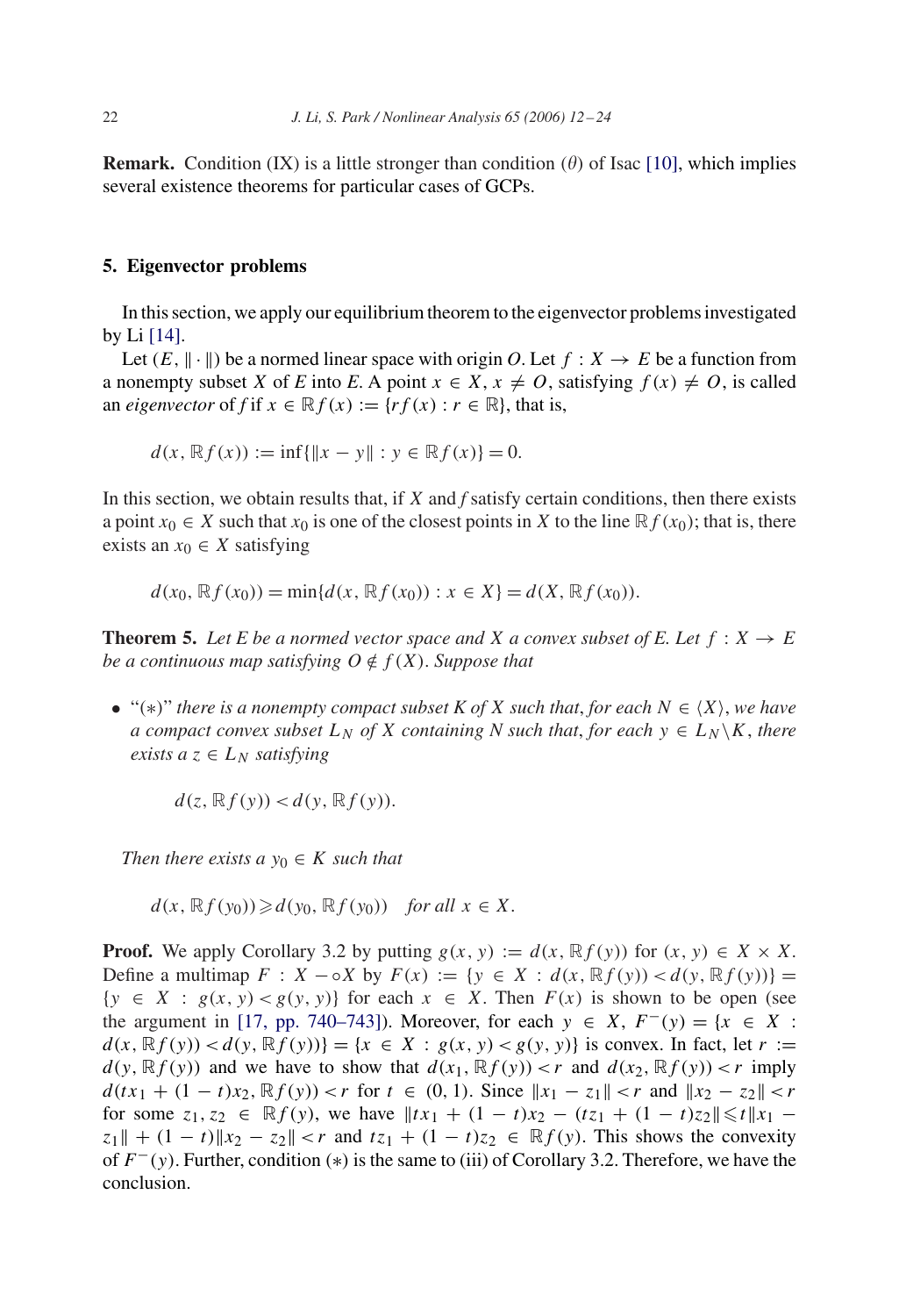**Remark.** Condition (IX) is a little stronger than condition ( $\theta$ ) of Isac [\[10\],](#page-12-0) which implies several existence theorems for particular cases of GCPs.

### **5. Eigenvector problems**

In this section, we apply our equilibrium theorem to the eigenvector problems investigated by Li [\[14\].](#page-12-0)

Let  $(E, ||\cdot||)$  be a normed linear space with origin *O*. Let  $f : X \to E$  be a function from a nonempty subset X of *E* into *E*. A point  $x \in X$ ,  $x \neq 0$ , satisfying  $f(x) \neq 0$ , is called an *eigenvector* of *f* if  $x \in \mathbb{R} f(x) := \{ rf(x) : r \in \mathbb{R} \}$ , that is,

$$
d(x, \mathbb{R}f(x)) := \inf\{\|x - y\| : y \in \mathbb{R}f(x)\} = 0.
$$

In this section, we obtain results that, if X and *f* satisfy certain conditions, then there exists a point  $x_0 \in X$  such that  $x_0$  is one of the closest points in X to the line  $\mathbb{R} f(x_0)$ ; that is, there exists an  $x_0 \in X$  satisfying

$$
d(x_0, \mathbb{R}f(x_0)) = \min\{d(x, \mathbb{R}f(x_0)) : x \in X\} = d(X, \mathbb{R}f(x_0)).
$$

**Theorem 5.** Let E be a normed vector space and X a convex subset of E. Let  $f: X \rightarrow E$ *be a continuous map satisfying*  $O \notin f(X)$ *. Suppose that* 

• "(\*)" *there is a nonempty compact subset K of X such that, for each*  $N \in \langle X \rangle$ *, we have a compact convex subset*  $L_N$  *of* X *containing* N *such that, for each*  $y \in L_N \backslash K$ *, there exists a*  $z \in L_N$  *satisfying* 

$$
d(z, \mathbb{R}f(y)) < d(y, \mathbb{R}f(y)).
$$

*Then there exists a*  $y_0 \in K$  *such that* 

$$
d(x, \mathbb{R}f(y_0)) \ge d(y_0, \mathbb{R}f(y_0)) \quad \text{for all } x \in X.
$$

**Proof.** We apply Corollary 3.2 by putting  $g(x, y) := d(x, \mathbb{R}f(y))$  for  $(x, y) \in X \times X$ . Define a multimap  $F : X - \circ X$  by  $F(x) := \{y \in X : d(x, \mathbb{R}f(y)) < d(y, \mathbb{R}f(y))\}$  $\{y \in X : g(x, y) < g(y, y)\}\$ for each  $x \in X$ . Then  $F(x)$  is shown to be open (see the argument in [\[17, pp. 740–743\]\)](#page-12-0). Moreover, for each  $y \in X$ ,  $F^-(y) = \{x \in X :$  $d(x, \mathbb{R}f(y)) < d(y, \mathbb{R}f(y)) = \{x \in X : g(x, y) < g(y, y)\}\$ is convex. In fact, let  $r :=$  $d(y, \mathbb{R}f(y))$  and we have to show that  $d(x_1, \mathbb{R}f(y)) < r$  and  $d(x_2, \mathbb{R}f(y)) < r$  imply  $d(tx_1 + (1-t)x_2, \mathbb{R}f(y)) < r$  for  $t \in (0, 1)$ . Since  $||x_1 - z_1|| < r$  and  $||x_2 - z_2|| < r$ for some  $z_1, z_2 \in \mathbb{R}f(y)$ , we have  $||tx_1 + (1-t)x_2 - (tz_1 + (1-t)z_2)|| \le t ||x_1 - x_2||$  $|z_1| + (1 - t) |z_2 - z_2| < r$  and  $|z_1 + (1 - t)z_2| \in \mathbb{R}f(y)$ . This shows the convexity of  $F^-(y)$ . Further, condition (\*) is the same to (iii) of Corollary 3.2. Therefore, we have the conclusion.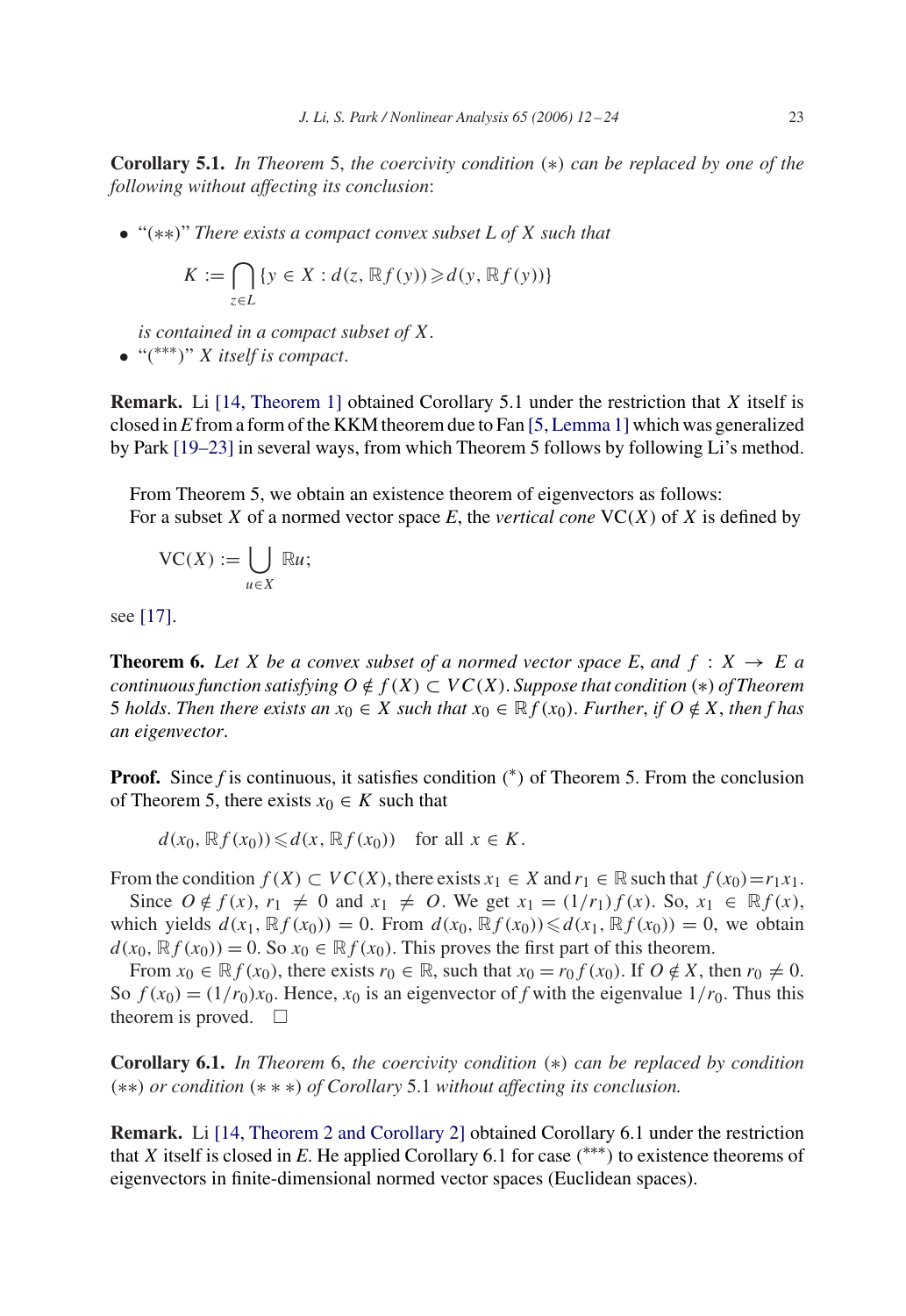**Corollary 5.1.** *In Theorem* 5, *the coercivity condition* (∗) *can be replaced by one of the following without affecting its conclusion*:

• "(∗∗)" *There exists a compact convex subset L of* X *such that*

$$
K := \bigcap_{z \in L} \{ y \in X : d(z, \mathbb{R}f(y)) \geq d(y, \mathbb{R}f(y)) \}
$$

*is contained in a compact subset of* X. • "( ∗∗∗)" X *itself is compact*.

**Remark.** Li [\[14, Theorem 1\]](#page-12-0) obtained Corollary 5.1 under the restriction that X itself is closed in *E* from a form of the KKM theorem due to Fan [\[5, Lemma 1\]](#page-12-0) which was generalized by Park [19–23] in several ways, from which Theorem 5 follows by following Li's method.

From Theorem 5, we obtain an existence theorem of eigenvectors as follows: For a subset X of a normed vector space  $E$ , the *vertical cone*  $VC(X)$  of X is defined by

$$
\mathrm{VC}(X):=\bigcup_{u\in X}\,\mathbb{R}u;
$$

see [\[17\].](#page-12-0)

**Theorem 6.** Let X be a convex subset of a normed vector space E, and  $f : X \rightarrow E$  a *continuous function satisfying*  $O \notin f(X) \subset VC(X)$ *. Suppose that condition* (\*) *of Theorem* 5 *holds*. Then there exists an  $x_0 \in X$  such that  $x_0 \in \mathbb{R} f(x_0)$ . *Further*, *if*  $O \notin X$ , then f has *an eigenvector*.

**Proof.** Since  $f$  is continuous, it satisfies condition  $(*)$  of Theorem 5. From the conclusion of Theorem 5, there exists  $x_0 \in K$  such that

 $d(x_0, \mathbb{R}f(x_0)) \leq d(x, \mathbb{R}f(x_0))$  for all  $x \in K$ .

From the condition  $f(X) \subset VC(X)$ , there exists  $x_1 \in X$  and  $r_1 \in \mathbb{R}$  such that  $f(x_0) = r_1x_1$ . Since  $O \notin f(x)$ ,  $r_1 \neq 0$  and  $x_1 \neq O$ . We get  $x_1 = (1/r_1)f(x)$ . So,  $x_1 \in \mathbb{R}f(x)$ , which yields  $d(x_1, \mathbb{R}f(x_0)) = 0$ . From  $d(x_0, \mathbb{R}f(x_0)) \le d(x_1, \mathbb{R}f(x_0)) = 0$ , we obtain  $d(x_0, \mathbb{R}f(x_0)) = 0$ . So  $x_0 \in \mathbb{R}f(x_0)$ . This proves the first part of this theorem.

From  $x_0 \in \mathbb{R} f(x_0)$ , there exists  $r_0 \in \mathbb{R}$ , such that  $x_0 = r_0 f(x_0)$ . If  $O \notin X$ , then  $r_0 \neq 0$ . So  $f(x_0) = (1/r_0)x_0$ . Hence,  $x_0$  is an eigenvector of f with the eigenvalue  $1/r_0$ . Thus this theorem is proved.  $\square$ 

**Corollary 6.1.** *In Theorem* 6, *the coercivity condition* (∗) *can be replaced by condition* (∗∗) *or condition* (∗∗∗) *of Corollary* 5.1 *without affecting its conclusion.*

**Remark.** Li [\[14, Theorem 2 and Corollary 2\]](#page-12-0) obtained Corollary 6.1 under the restriction that *X* itself is closed in *E*. He applied Corollary 6.1 for case  $(***)$  to existence theorems of eigenvectors in finite-dimensional normed vector spaces (Euclidean spaces).